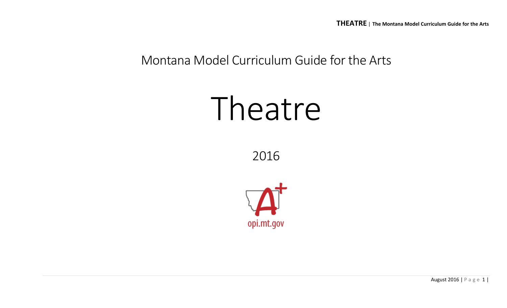## Montana Model Curriculum Guide for the Arts

# Theatre

2016



August 2016 | Page 1 |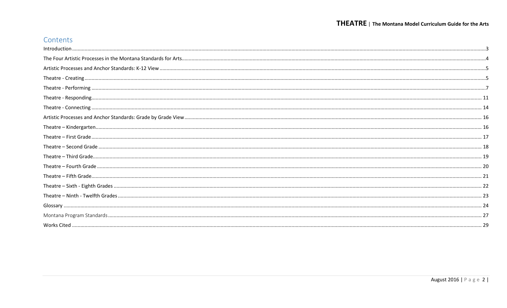## Contents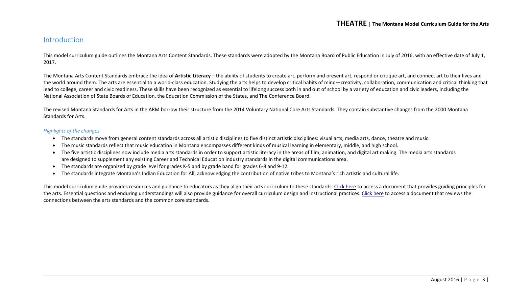#### <span id="page-2-0"></span>Introduction

This model curriculum guide outlines the Montana Arts Content Standards. These standards were adopted by the Montana Board of Public Education in July of 2016, with an effective date of July 1, 2017.

The Montana Arts Content Standards embrace the idea of **Artistic Literacy** – the ability of students to create art, perform and present art, respond or critique art, and connect art to their lives and the world around them. The arts are essential to a world-class education. Studying the arts helps to develop critical habits of mind—creativity, collaboration, communication and critical thinking that lead to college, career and civic readiness. These skills have been recognized as essential to lifelong success both in and out of school by a variety of education and civic leaders, including the National Association of State Boards of Education, the Education Commission of the States, and The Conference Board.

The revised Montana Standards for Arts in the ARM borrow their structure from the [2014 Voluntary National Core Arts Standards.](http://www.nationalartsstandards.org/) They contain substantive changes from the 2000 Montana Standards for Arts.

#### *Highlights of the changes*

- The standards move from general content standards across all artistic disciplines to five distinct artistic disciplines: visual arts, media arts, dance, theatre and music.
- The music standards reflect that music education in Montana encompasses different kinds of musical learning in elementary, middle, and high school.
- The five artistic disciplines now include media arts standards in order to support artistic literacy in the areas of film, animation, and digital art making. The media arts standards are designed to supplement any existing Career and Technical Education industry standards in the digital communications area.
- The standards are organized by grade level for grades K-5 and by grade band for grades 6-8 and 9-12.
- The standards integrate Montana's Indian Education for All, acknowledging the contribution of native tribes to Montana's rich artistic and cultural life.

This model curriculum guide provides resources and guidance to educators as they align their arts curriculum to these standards. [Click here](http://usny.nysed.gov/rttt/docs/guidingprinciples-arts.pdf) to access a document that provides guiding principles for the arts. Essential questions and enduring understandings will also provide guidance for overall curriculum design and instructional practices. [Click here](http://www.nationalartsstandards.org/sites/default/files/College%20Board%20Research%20-%20Arts%20and%20Common%20Core%20-%20final%20report1.pdf) to access a document that reviews the connections between the arts standards and the common core standards.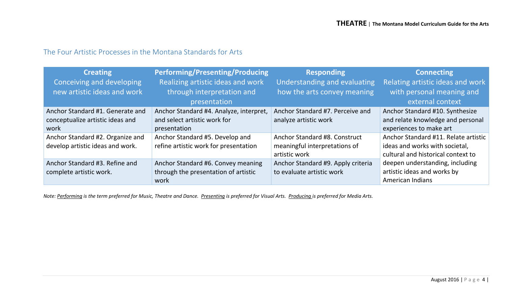## <span id="page-3-0"></span>The Four Artistic Processes in the Montana Standards for Arts

| <b>Creating</b><br>Conceiving and developing<br>new artistic ideas and work  | <b>Performing/Presenting/Producing</b><br>Realizing artistic ideas and work<br>through interpretation and<br>presentation | <b>Responding</b><br>Understanding and evaluating<br>how the arts convey meaning | <b>Connecting</b><br>Relating artistic ideas and work<br>with personal meaning and<br>external context       |
|------------------------------------------------------------------------------|---------------------------------------------------------------------------------------------------------------------------|----------------------------------------------------------------------------------|--------------------------------------------------------------------------------------------------------------|
| Anchor Standard #1. Generate and<br>conceptualize artistic ideas and<br>work | Anchor Standard #4. Analyze, interpret,<br>and select artistic work for<br>presentation                                   | Anchor Standard #7. Perceive and<br>analyze artistic work                        | Anchor Standard #10. Synthesize<br>and relate knowledge and personal<br>experiences to make art              |
| Anchor Standard #2. Organize and<br>develop artistic ideas and work.         | Anchor Standard #5. Develop and<br>refine artistic work for presentation                                                  | Anchor Standard #8. Construct<br>meaningful interpretations of<br>artistic work  | Anchor Standard #11. Relate artistic<br>ideas and works with societal,<br>cultural and historical context to |
| Anchor Standard #3. Refine and<br>complete artistic work.                    | Anchor Standard #6. Convey meaning<br>through the presentation of artistic<br>work                                        | Anchor Standard #9. Apply criteria<br>to evaluate artistic work                  | deepen understanding, including<br>artistic ideas and works by<br>American Indians                           |

*Note: Performing is the term preferred for Music, Theatre and Dance. Presenting is preferred for Visual Arts. Producing is preferred for Media Arts.*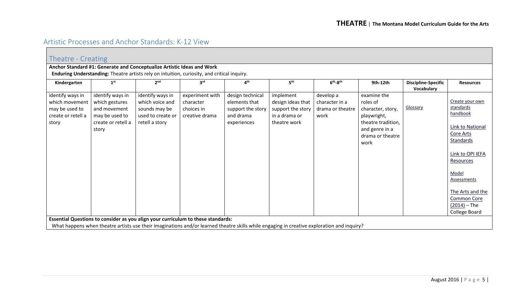## <span id="page-4-0"></span>Artistic Processes and Anchor Standards: K-12 View

<span id="page-4-1"></span>

|                                                                                     | Theatre - Creating                                                                                  |                                                                                             |                                                              |                                                                                                                                            |                                                                                      |                                                         |                                                                                                                                 |                                          |                                                                                                                                                                                                                                     |  |  |
|-------------------------------------------------------------------------------------|-----------------------------------------------------------------------------------------------------|---------------------------------------------------------------------------------------------|--------------------------------------------------------------|--------------------------------------------------------------------------------------------------------------------------------------------|--------------------------------------------------------------------------------------|---------------------------------------------------------|---------------------------------------------------------------------------------------------------------------------------------|------------------------------------------|-------------------------------------------------------------------------------------------------------------------------------------------------------------------------------------------------------------------------------------|--|--|
|                                                                                     |                                                                                                     | Anchor Standard #1: Generate and Conceptualize Artistic Ideas and Work                      |                                                              |                                                                                                                                            |                                                                                      |                                                         |                                                                                                                                 |                                          |                                                                                                                                                                                                                                     |  |  |
|                                                                                     |                                                                                                     | Enduring Understanding: Theatre artists rely on intuition, curiosity, and critical inquiry. |                                                              |                                                                                                                                            |                                                                                      |                                                         |                                                                                                                                 |                                          |                                                                                                                                                                                                                                     |  |  |
| Kindergarten                                                                        | 1 <sup>st</sup>                                                                                     | 2 <sup>nd</sup>                                                                             | 3 <sup>rd</sup>                                              | 4 <sup>th</sup>                                                                                                                            | 5 <sup>th</sup>                                                                      | $6th-8th$                                               | 9th-12th                                                                                                                        | <b>Discipline-Specific</b><br>Vocabulary | <b>Resources</b>                                                                                                                                                                                                                    |  |  |
| identify ways in<br>which movement<br>may be used to<br>create or retell a<br>story | identify ways in<br>which gestures<br>and movement<br>may be used to<br>create or retell a<br>story | identify ways in<br>which voice and<br>sounds may be<br>used to create or<br>retell a story | experiment with<br>character<br>choices in<br>creative drama | design technical<br>elements that<br>support the story<br>and drama<br>experiences                                                         | implement<br>design ideas that<br>support the story<br>in a drama or<br>theatre work | develop a<br>character in a<br>drama or theatre<br>work | examine the<br>roles of<br>character, story,<br>playwright,<br>theatre tradition,<br>and genre in a<br>drama or theatre<br>work | Glossary                                 | Create your own<br>standards<br>handbook<br><b>Link to National</b><br>Core Arts<br>Standards<br>Link to OPI IEFA<br>Resources<br>Model<br>Assessments<br>The Arts and the<br><b>Common Core</b><br>$(2014)$ – The<br>College Board |  |  |
|                                                                                     |                                                                                                     | Essential Questions to consider as you align your curriculum to these standards:            |                                                              | What happens when theatre artists use their imaginations and/or learned theatre skills while engaging in creative exploration and inquiry? |                                                                                      |                                                         |                                                                                                                                 |                                          |                                                                                                                                                                                                                                     |  |  |
|                                                                                     |                                                                                                     |                                                                                             |                                                              |                                                                                                                                            |                                                                                      |                                                         |                                                                                                                                 |                                          |                                                                                                                                                                                                                                     |  |  |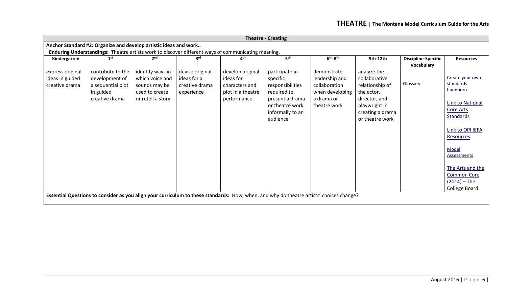|                                                       | <b>Theatre - Creating</b>                                                                          |                                                                                             |                                                                |                                                                                     |                                                                                                                                         |                                                                                                 |                                                                                                                                        |                                          |                                                                                                                                                                                                                                                   |  |  |
|-------------------------------------------------------|----------------------------------------------------------------------------------------------------|---------------------------------------------------------------------------------------------|----------------------------------------------------------------|-------------------------------------------------------------------------------------|-----------------------------------------------------------------------------------------------------------------------------------------|-------------------------------------------------------------------------------------------------|----------------------------------------------------------------------------------------------------------------------------------------|------------------------------------------|---------------------------------------------------------------------------------------------------------------------------------------------------------------------------------------------------------------------------------------------------|--|--|
|                                                       | Anchor Standard #2: Organize and develop artistic ideas and work                                   |                                                                                             |                                                                |                                                                                     |                                                                                                                                         |                                                                                                 |                                                                                                                                        |                                          |                                                                                                                                                                                                                                                   |  |  |
|                                                       | Enduring Understandings: Theatre artists work to discover different ways of communicating meaning. |                                                                                             |                                                                |                                                                                     |                                                                                                                                         |                                                                                                 |                                                                                                                                        |                                          |                                                                                                                                                                                                                                                   |  |  |
| Kindergarten                                          | 1 <sup>st</sup>                                                                                    | 2 <sup>nd</sup>                                                                             | 3 <sup>rd</sup>                                                | $\mathbf{A}^{\text{th}}$                                                            | 5 <sup>th</sup>                                                                                                                         | $6th-8th$                                                                                       | 9th-12th                                                                                                                               | <b>Discipline-Specific</b><br>Vocabulary | <b>Resources</b>                                                                                                                                                                                                                                  |  |  |
| express original<br>ideas in guided<br>creative drama | contribute to the<br>development of<br>a sequential plot<br>in guided<br>creative drama            | identify ways in<br>which voice and<br>sounds may be<br>used to create<br>or retell a story | devise original<br>ideas for a<br>creative drama<br>experience | develop original<br>ideas for<br>characters and<br>plot in a theatre<br>performance | participate in<br>specific<br>responsibilities<br>required to<br>present a drama<br>or theatre work<br>informally to an<br>audience     | demonstrate<br>leadership and<br>collaboration<br>when developing<br>a drama or<br>theatre work | analyze the<br>collaborative<br>relationship of<br>the actor,<br>director, and<br>playwright in<br>creating a drama<br>or theatre work | Glossary                                 | Create your own<br>standards<br>handbook<br>Link to National<br><b>Core Arts</b><br><b>Standards</b><br>Link to OPI IEFA<br><b>Resources</b><br>Model<br>Assessments<br>The Arts and the<br><b>Common Core</b><br>$(2014) - The$<br>College Board |  |  |
|                                                       |                                                                                                    |                                                                                             |                                                                |                                                                                     | Essential Questions to consider as you align your curriculum to these standards: How, when, and why do theatre artists' choices change? |                                                                                                 |                                                                                                                                        |                                          |                                                                                                                                                                                                                                                   |  |  |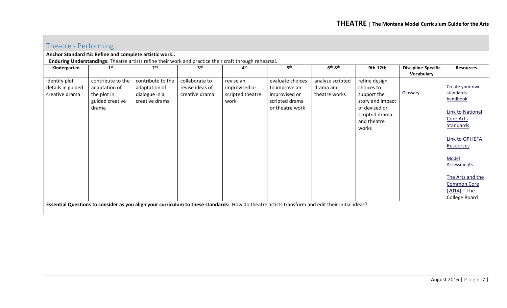<span id="page-6-0"></span>

|                                                      | Theatre - Performing                                                                                                                            |                                                                       |                                                     |                                                                                                        |                                                                                         |                                                |                                                                                                                           |                                          |                                                                                                                                                                                                                                     |  |
|------------------------------------------------------|-------------------------------------------------------------------------------------------------------------------------------------------------|-----------------------------------------------------------------------|-----------------------------------------------------|--------------------------------------------------------------------------------------------------------|-----------------------------------------------------------------------------------------|------------------------------------------------|---------------------------------------------------------------------------------------------------------------------------|------------------------------------------|-------------------------------------------------------------------------------------------------------------------------------------------------------------------------------------------------------------------------------------|--|
|                                                      | Anchor Standard #3: Refine and complete artistic work                                                                                           |                                                                       |                                                     |                                                                                                        |                                                                                         |                                                |                                                                                                                           |                                          |                                                                                                                                                                                                                                     |  |
|                                                      |                                                                                                                                                 |                                                                       |                                                     | Enduring Understandings: Theatre artists refine their work and practice their craft through rehearsal. |                                                                                         |                                                |                                                                                                                           |                                          |                                                                                                                                                                                                                                     |  |
| Kindergarten                                         | 1 <sup>st</sup>                                                                                                                                 | 2 <sub>nd</sub>                                                       | 3 <sup>rd</sup>                                     | 4 <sup>th</sup>                                                                                        | 5 <sup>th</sup>                                                                         | $6th-8th$                                      | 9th-12th                                                                                                                  | <b>Discipline-Specific</b><br>Vocabulary | <b>Resources</b>                                                                                                                                                                                                                    |  |
| identify plot<br>details in guided<br>creative drama | contribute to the<br>adaptation of<br>the plot in<br>guided creative<br>drama                                                                   | contribute to the<br>adaptation of<br>dialogue in a<br>creative drama | collaborate to<br>revise ideas of<br>creative drama | revise an<br>improvised or<br>scripted theatre<br>work                                                 | evaluate choices<br>to improve an<br>improvised or<br>scripted drama<br>or theatre work | analyze scripted<br>drama and<br>theatre works | refine design<br>choices to<br>support the<br>story and impact<br>of devised or<br>scripted drama<br>and theatre<br>works | Glossary                                 | Create your own<br>standards<br>handbook<br>Link to National<br><b>Core Arts</b><br>Standards<br>Link to OPI IEFA<br>Resources<br>Model<br>Assessments<br>The Arts and the<br><b>Common Core</b><br>$(2014)$ – The<br>College Board |  |
|                                                      | Essential Questions to consider as you align your curriculum to these standards: How do theatre artists transform and edit their initial ideas? |                                                                       |                                                     |                                                                                                        |                                                                                         |                                                |                                                                                                                           |                                          |                                                                                                                                                                                                                                     |  |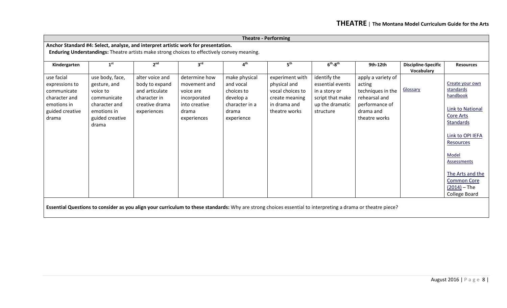|                                                                                                         | <b>Theatre - Performing</b>                                                                                                                                                       |                                                                                                      |                                                                                                     |                                                                                                |                                                                                                                                                             |                                                                                                       |                                                                                                                    |                            |                                                                                                                                                                                                                                                   |  |  |
|---------------------------------------------------------------------------------------------------------|-----------------------------------------------------------------------------------------------------------------------------------------------------------------------------------|------------------------------------------------------------------------------------------------------|-----------------------------------------------------------------------------------------------------|------------------------------------------------------------------------------------------------|-------------------------------------------------------------------------------------------------------------------------------------------------------------|-------------------------------------------------------------------------------------------------------|--------------------------------------------------------------------------------------------------------------------|----------------------------|---------------------------------------------------------------------------------------------------------------------------------------------------------------------------------------------------------------------------------------------------|--|--|
|                                                                                                         | Anchor Standard #4: Select, analyze, and interpret artistic work for presentation.<br>Enduring Understandings: Theatre artists make strong choices to effectively convey meaning. |                                                                                                      |                                                                                                     |                                                                                                |                                                                                                                                                             |                                                                                                       |                                                                                                                    |                            |                                                                                                                                                                                                                                                   |  |  |
| Kindergarten                                                                                            | 1 <sup>st</sup>                                                                                                                                                                   | 2 <sup>nd</sup>                                                                                      | 3 <sup>rd</sup>                                                                                     | 4 <sup>th</sup>                                                                                | 5 <sup>th</sup>                                                                                                                                             | $6th-8th$                                                                                             | 9th-12th                                                                                                           | <b>Discipline-Specific</b> | <b>Resources</b>                                                                                                                                                                                                                                  |  |  |
| use facial<br>expressions to<br>communicate<br>character and<br>emotions in<br>guided creative<br>drama | use body, face,<br>gesture, and<br>voice to<br>communicate<br>character and<br>emotions in<br>guided creative<br>drama                                                            | alter voice and<br>body to expand<br>and articulate<br>character in<br>creative drama<br>experiences | determine how<br>movement and<br>voice are<br>incorporated<br>into creative<br>drama<br>experiences | make physical<br>and vocal<br>choices to<br>develop a<br>character in a<br>drama<br>experience | experiment with<br>physical and<br>vocal choices to<br>create meaning<br>in drama and<br>theatre works                                                      | identify the<br>essential events<br>in a story or<br>script that make<br>up the dramatic<br>structure | apply a variety of<br>acting<br>techniques in the<br>rehearsal and<br>performance of<br>drama and<br>theatre works | Vocabulary<br>Glossary     | Create your own<br>standards<br>handbook<br><b>Link to National</b><br><b>Core Arts</b><br><b>Standards</b><br>Link to OPI IEFA<br>Resources<br>Model<br>Assessments<br>The Arts and the<br><b>Common Core</b><br>$(2014) - The$<br>College Board |  |  |
|                                                                                                         |                                                                                                                                                                                   |                                                                                                      |                                                                                                     |                                                                                                | Essential Questions to consider as you align your curriculum to these standards: Why are strong choices essential to interpreting a drama or theatre piece? |                                                                                                       |                                                                                                                    |                            |                                                                                                                                                                                                                                                   |  |  |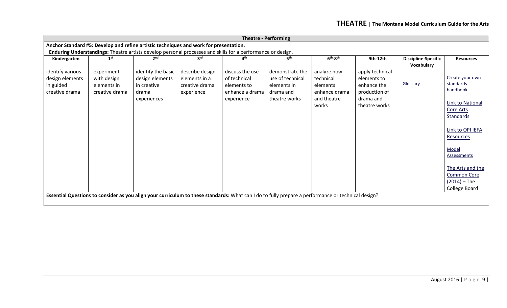|                                                                    | <b>Theatre - Performing</b>                                |                                                                                       |                                                                  |                                                                                                                                                    |                                                                                  |                                                                               |                                                                                              |                                          |                                                                                                                                                                                                                                     |  |  |
|--------------------------------------------------------------------|------------------------------------------------------------|---------------------------------------------------------------------------------------|------------------------------------------------------------------|----------------------------------------------------------------------------------------------------------------------------------------------------|----------------------------------------------------------------------------------|-------------------------------------------------------------------------------|----------------------------------------------------------------------------------------------|------------------------------------------|-------------------------------------------------------------------------------------------------------------------------------------------------------------------------------------------------------------------------------------|--|--|
|                                                                    |                                                            | Anchor Standard #5: Develop and refine artistic techniques and work for presentation. |                                                                  |                                                                                                                                                    |                                                                                  |                                                                               |                                                                                              |                                          |                                                                                                                                                                                                                                     |  |  |
|                                                                    |                                                            |                                                                                       |                                                                  | Enduring Understandings: Theatre artists develop personal processes and skills for a performance or design.                                        |                                                                                  |                                                                               |                                                                                              |                                          |                                                                                                                                                                                                                                     |  |  |
| Kindergarten                                                       | 1 <sup>st</sup>                                            | 2 <sub>nd</sub>                                                                       | 3 <sup>rd</sup>                                                  | 4 <sup>th</sup>                                                                                                                                    | $5^{\text{th}}$                                                                  | $6th-8th$                                                                     | 9th-12th                                                                                     | <b>Discipline-Specific</b><br>Vocabulary | <b>Resources</b>                                                                                                                                                                                                                    |  |  |
| identify various<br>design elements<br>in guided<br>creative drama | experiment<br>with design<br>elements in<br>creative drama | identify the basic<br>design elements<br>in creative<br>drama<br>experiences          | describe design<br>elements in a<br>creative drama<br>experience | discuss the use<br>of technical<br>elements to<br>enhance a drama<br>experience                                                                    | demonstrate the<br>use of technical<br>elements in<br>drama and<br>theatre works | analyze how<br>technical<br>elements<br>enhance drama<br>and theatre<br>works | apply technical<br>elements to<br>enhance the<br>production of<br>drama and<br>theatre works | Glossary                                 | Create your own<br>standards<br>handbook<br>Link to National<br>Core Arts<br><b>Standards</b><br>Link to OPI IEFA<br>Resources<br>Model<br>Assessments<br>The Arts and the<br><b>Common Core</b><br>$(2014)$ – The<br>College Board |  |  |
|                                                                    |                                                            |                                                                                       |                                                                  | Essential Questions to consider as you align your curriculum to these standards: What can I do to fully prepare a performance or technical design? |                                                                                  |                                                                               |                                                                                              |                                          |                                                                                                                                                                                                                                     |  |  |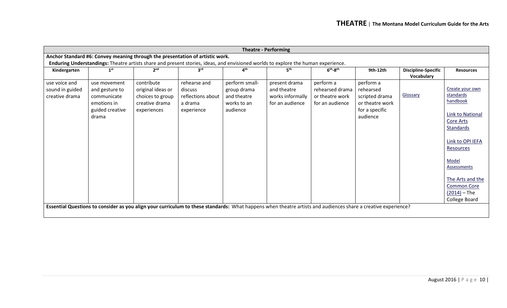|                                                    | <b>Theatre - Performing</b>                                                              |                                                                                      |                                                                       |                                                                         |                                                                                                                                                                                                                                      |                                                                    |                                                                                           |                                          |                                                                                                                                                                                                                                                   |  |  |
|----------------------------------------------------|------------------------------------------------------------------------------------------|--------------------------------------------------------------------------------------|-----------------------------------------------------------------------|-------------------------------------------------------------------------|--------------------------------------------------------------------------------------------------------------------------------------------------------------------------------------------------------------------------------------|--------------------------------------------------------------------|-------------------------------------------------------------------------------------------|------------------------------------------|---------------------------------------------------------------------------------------------------------------------------------------------------------------------------------------------------------------------------------------------------|--|--|
|                                                    |                                                                                          | Anchor Standard #6: Convey meaning through the presentation of artistic work.        |                                                                       |                                                                         |                                                                                                                                                                                                                                      |                                                                    |                                                                                           |                                          |                                                                                                                                                                                                                                                   |  |  |
|                                                    |                                                                                          |                                                                                      |                                                                       |                                                                         | Enduring Understandings: Theatre artists share and present stories, ideas, and envisioned worlds to explore the human experience.                                                                                                    |                                                                    |                                                                                           |                                          |                                                                                                                                                                                                                                                   |  |  |
| Kindergarten                                       | 1 <sup>st</sup>                                                                          | 2 <sub>nd</sub>                                                                      | 3 <sup>rd</sup>                                                       | 4 <sup>th</sup>                                                         | 5th                                                                                                                                                                                                                                  | $6th-8th$                                                          | 9th-12th                                                                                  | <b>Discipline-Specific</b><br>Vocabulary | <b>Resources</b>                                                                                                                                                                                                                                  |  |  |
| use voice and<br>sound in guided<br>creative drama | use movement<br>and gesture to<br>communicate<br>emotions in<br>guided creative<br>drama | contribute<br>original ideas or<br>choices to group<br>creative drama<br>experiences | rehearse and<br>discuss<br>reflections about<br>a drama<br>experience | perform small-<br>group drama<br>and theatre<br>works to an<br>audience | present drama<br>and theatre<br>works informally<br>for an audience<br>Essential Questions to consider as you align your curriculum to these standards: What happens when theatre artists and audiences share a creative experience? | perform a<br>rehearsed drama<br>or theatre work<br>for an audience | perform a<br>rehearsed<br>scripted drama<br>or theatre work<br>for a specific<br>audience | Glossary                                 | Create your own<br>standards<br>handbook<br><b>Link to National</b><br><b>Core Arts</b><br><b>Standards</b><br>Link to OPI IEFA<br>Resources<br>Model<br>Assessments<br>The Arts and the<br><b>Common Core</b><br>$(2014) - The$<br>College Board |  |  |
|                                                    |                                                                                          |                                                                                      |                                                                       |                                                                         |                                                                                                                                                                                                                                      |                                                                    |                                                                                           |                                          |                                                                                                                                                                                                                                                   |  |  |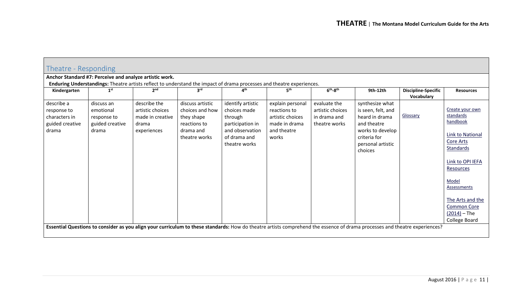<span id="page-10-0"></span>

| Theatre - Responding                                                   |                                                                    |                                                                              |                                                                                                 |                                                                                                                      |                                                                                                                       |                                                                   |                                                                                                                                                                            |                                          |                                                                                                                                                                                                                                            |
|------------------------------------------------------------------------|--------------------------------------------------------------------|------------------------------------------------------------------------------|-------------------------------------------------------------------------------------------------|----------------------------------------------------------------------------------------------------------------------|-----------------------------------------------------------------------------------------------------------------------|-------------------------------------------------------------------|----------------------------------------------------------------------------------------------------------------------------------------------------------------------------|------------------------------------------|--------------------------------------------------------------------------------------------------------------------------------------------------------------------------------------------------------------------------------------------|
|                                                                        | Anchor Standard #7: Perceive and analyze artistic work.            |                                                                              |                                                                                                 |                                                                                                                      |                                                                                                                       |                                                                   |                                                                                                                                                                            |                                          |                                                                                                                                                                                                                                            |
|                                                                        |                                                                    |                                                                              |                                                                                                 |                                                                                                                      | Enduring Understandings: Theatre artists reflect to understand the impact of drama processes and theatre experiences. |                                                                   |                                                                                                                                                                            |                                          |                                                                                                                                                                                                                                            |
| Kindergarten                                                           | 1 <sup>st</sup>                                                    | 2 <sup>nd</sup>                                                              | 3 <sup>rd</sup>                                                                                 | 4 <sup>th</sup>                                                                                                      | 5 <sup>th</sup>                                                                                                       | $6th-8th$                                                         | 9th-12th                                                                                                                                                                   | <b>Discipline-Specific</b><br>Vocabulary | <b>Resources</b>                                                                                                                                                                                                                           |
| describe a<br>response to<br>characters in<br>guided creative<br>drama | discuss an<br>emotional<br>response to<br>guided creative<br>drama | describe the<br>artistic choices<br>made in creative<br>drama<br>experiences | discuss artistic<br>choices and how<br>they shape<br>reactions to<br>drama and<br>theatre works | identify artistic<br>choices made<br>through<br>participation in<br>and observation<br>of drama and<br>theatre works | explain personal<br>reactions to<br>artistic choices<br>made in drama<br>and theatre<br>works                         | evaluate the<br>artistic choices<br>in drama and<br>theatre works | synthesize what<br>is seen, felt, and<br>heard in drama<br>and theatre<br>works to develop<br>criteria for<br>personal artistic<br>choices                                 | Glossary                                 | Create your own<br>standards<br>handbook<br>Link to National<br>Core Arts<br><b>Standards</b><br>Link to OPI IEFA<br>Resources<br>Model<br><b>Assessments</b><br>The Arts and the<br><b>Common Core</b><br>$(2014)$ – The<br>College Board |
|                                                                        |                                                                    |                                                                              |                                                                                                 |                                                                                                                      |                                                                                                                       |                                                                   | Essential Questions to consider as you align your curriculum to these standards: How do theatre artists comprehend the essence of drama processes and theatre experiences? |                                          |                                                                                                                                                                                                                                            |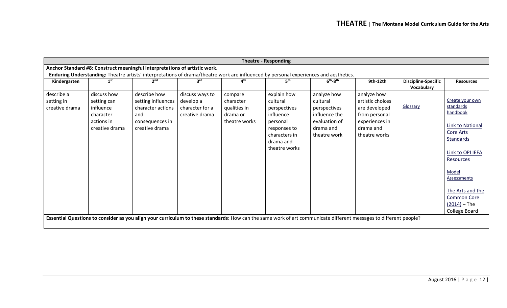|                                            | <b>Theatre - Responding</b>                                                          |                                                                                                                                                                   |                                                                   |                                                                   |                                                                                                                                 |                                                                                                        |                                                                                                                   |                                          |                                                                                                                                                                                                                                     |  |
|--------------------------------------------|--------------------------------------------------------------------------------------|-------------------------------------------------------------------------------------------------------------------------------------------------------------------|-------------------------------------------------------------------|-------------------------------------------------------------------|---------------------------------------------------------------------------------------------------------------------------------|--------------------------------------------------------------------------------------------------------|-------------------------------------------------------------------------------------------------------------------|------------------------------------------|-------------------------------------------------------------------------------------------------------------------------------------------------------------------------------------------------------------------------------------|--|
|                                            |                                                                                      | Anchor Standard #8: Construct meaningful interpretations of artistic work.                                                                                        |                                                                   |                                                                   |                                                                                                                                 |                                                                                                        |                                                                                                                   |                                          |                                                                                                                                                                                                                                     |  |
|                                            |                                                                                      | Enduring Understanding: Theatre artists' interpretations of drama/theatre work are influenced by personal experiences and aesthetics.                             |                                                                   |                                                                   |                                                                                                                                 |                                                                                                        |                                                                                                                   |                                          |                                                                                                                                                                                                                                     |  |
| Kindergarten                               | 1 <sup>st</sup>                                                                      | 2 <sub>nd</sub>                                                                                                                                                   | 3rd                                                               | 4 <sup>th</sup>                                                   | 5 <sup>th</sup>                                                                                                                 | $6th-8th$                                                                                              | 9th-12th                                                                                                          | <b>Discipline-Specific</b><br>Vocabulary | <b>Resources</b>                                                                                                                                                                                                                    |  |
| describe a<br>setting in<br>creative drama | discuss how<br>setting can<br>influence<br>character<br>actions in<br>creative drama | describe how<br>setting influences<br>character actions<br>and<br>consequences in<br>creative drama                                                               | discuss ways to<br>develop a<br>character for a<br>creative drama | compare<br>character<br>qualities in<br>drama or<br>theatre works | explain how<br>cultural<br>perspectives<br>influence<br>personal<br>responses to<br>characters in<br>drama and<br>theatre works | analyze how<br>cultural<br>perspectives<br>influence the<br>evaluation of<br>drama and<br>theatre work | analyze how<br>artistic choices<br>are developed<br>from personal<br>experiences in<br>drama and<br>theatre works | Glossary                                 | Create your own<br>standards<br>handbook<br>Link to National<br>Core Arts<br><b>Standards</b><br>Link to OPI IEFA<br>Resources<br>Model<br>Assessments<br>The Arts and the<br><b>Common Core</b><br>$(2014)$ – The<br>College Board |  |
|                                            |                                                                                      | Essential Questions to consider as you align your curriculum to these standards: How can the same work of art communicate different messages to different people? |                                                                   |                                                                   |                                                                                                                                 |                                                                                                        |                                                                                                                   |                                          |                                                                                                                                                                                                                                     |  |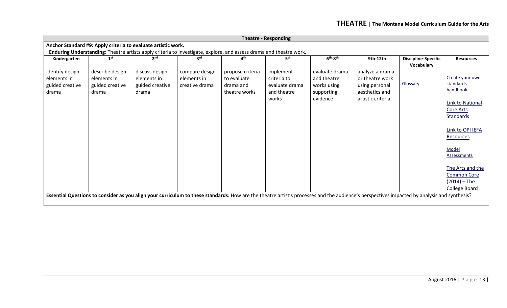|                                                            | <b>Theatre - Responding</b>                                |                                                               |                                                                                                                    |                                                               |                                                                    |                                                                        |                                                                                             |                                                                                                                                                                                             |                                                                                                                                                                                                                              |  |  |
|------------------------------------------------------------|------------------------------------------------------------|---------------------------------------------------------------|--------------------------------------------------------------------------------------------------------------------|---------------------------------------------------------------|--------------------------------------------------------------------|------------------------------------------------------------------------|---------------------------------------------------------------------------------------------|---------------------------------------------------------------------------------------------------------------------------------------------------------------------------------------------|------------------------------------------------------------------------------------------------------------------------------------------------------------------------------------------------------------------------------|--|--|
|                                                            |                                                            | Anchor Standard #9: Apply criteria to evaluate artistic work. |                                                                                                                    |                                                               |                                                                    |                                                                        |                                                                                             |                                                                                                                                                                                             |                                                                                                                                                                                                                              |  |  |
|                                                            |                                                            |                                                               | Enduring Understanding: Theatre artists apply criteria to investigate, explore, and assess drama and theatre work. |                                                               |                                                                    |                                                                        |                                                                                             |                                                                                                                                                                                             |                                                                                                                                                                                                                              |  |  |
| Kindergarten                                               | 1 <sup>st</sup>                                            | 2 <sub>nd</sub>                                               | 3 <sup>rd</sup>                                                                                                    | 4 <sup>th</sup>                                               | 5 <sup>th</sup>                                                    | $6th-8th$                                                              | 9th-12th                                                                                    | <b>Discipline-Specific</b><br>Vocabulary                                                                                                                                                    | <b>Resources</b>                                                                                                                                                                                                             |  |  |
| identify design<br>elements in<br>guided creative<br>drama | describe design<br>elements in<br>guided creative<br>drama | discuss design<br>elements in<br>guided creative<br>drama     | compare design<br>elements in<br>creative drama                                                                    | propose criteria<br>to evaluate<br>drama and<br>theatre works | implement<br>criteria to<br>evaluate drama<br>and theatre<br>works | evaluate drama<br>and theatre<br>works using<br>supporting<br>evidence | analyze a drama<br>or theatre work<br>using personal<br>aesthetics and<br>artistic criteria | Glossary                                                                                                                                                                                    | Create your own<br>standards<br>handbook<br>Link to National<br>Core Arts<br>Standards<br>Link to OPI IEFA<br>Resources<br>Model<br>Assessments<br>The Arts and the<br><b>Common Core</b><br>$(2014)$ – The<br>College Board |  |  |
|                                                            |                                                            |                                                               |                                                                                                                    |                                                               |                                                                    |                                                                        |                                                                                             | Essential Questions to consider as you align your curriculum to these standards: How are the theatre artist's processes and the audience's perspectives impacted by analysis and synthesis? |                                                                                                                                                                                                                              |  |  |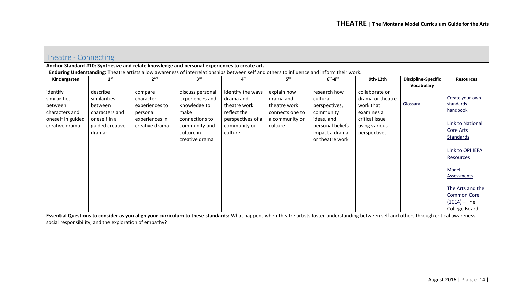<span id="page-13-0"></span>

| Theatre - Connecting                                                                         |                                                                                                    |                                                                                        |                                                                                                                                           |                                                                                                               |                                                                                          |                                                                                                                               |                                                                                                                                                                                             |                                          |                                                                                                                                                                                                                                            |
|----------------------------------------------------------------------------------------------|----------------------------------------------------------------------------------------------------|----------------------------------------------------------------------------------------|-------------------------------------------------------------------------------------------------------------------------------------------|---------------------------------------------------------------------------------------------------------------|------------------------------------------------------------------------------------------|-------------------------------------------------------------------------------------------------------------------------------|---------------------------------------------------------------------------------------------------------------------------------------------------------------------------------------------|------------------------------------------|--------------------------------------------------------------------------------------------------------------------------------------------------------------------------------------------------------------------------------------------|
|                                                                                              |                                                                                                    |                                                                                        | Anchor Standard #10: Synthesize and relate knowledge and personal experiences to create art.                                              |                                                                                                               |                                                                                          |                                                                                                                               |                                                                                                                                                                                             |                                          |                                                                                                                                                                                                                                            |
|                                                                                              |                                                                                                    |                                                                                        | Enduring Understanding: Theatre artists allow awareness of interrelationships between self and others to influence and inform their work. |                                                                                                               |                                                                                          |                                                                                                                               |                                                                                                                                                                                             |                                          |                                                                                                                                                                                                                                            |
| Kindergarten                                                                                 | 1 <sup>st</sup>                                                                                    | 2 <sup>nd</sup>                                                                        | 3 <sup>rd</sup>                                                                                                                           | 4 <sup>th</sup>                                                                                               | 5 <sup>th</sup>                                                                          | $6th-8th$                                                                                                                     | 9th-12th                                                                                                                                                                                    | <b>Discipline-Specific</b><br>Vocabulary | <b>Resources</b>                                                                                                                                                                                                                           |
| identify<br>similarities<br>between<br>characters and<br>oneself in guided<br>creative drama | describe<br>similarities<br>between<br>characters and<br>oneself in a<br>guided creative<br>drama; | compare<br>character<br>experiences to<br>personal<br>experiences in<br>creative drama | discuss personal<br>experiences and<br>knowledge to<br>make<br>connections to<br>community and<br>culture in<br>creative drama            | identify the ways<br>drama and<br>theatre work<br>reflect the<br>perspectives of a<br>community or<br>culture | explain how<br>drama and<br>theatre work<br>connects one to<br>a community or<br>culture | research how<br>cultural<br>perspectives,<br>community<br>ideas, and<br>personal beliefs<br>impact a drama<br>or theatre work | collaborate on<br>drama or theatre<br>work that<br>examines a<br>critical issue<br>using various<br>perspectives                                                                            | Glossary                                 | Create your own<br>standards<br>handbook<br><b>Link to National</b><br>Core Arts<br><b>Standards</b><br>Link to OPI IEFA<br>Resources<br>Model<br>Assessments<br>The Arts and the<br><b>Common Core</b><br>$(2014)$ – The<br>College Board |
|                                                                                              |                                                                                                    |                                                                                        |                                                                                                                                           |                                                                                                               |                                                                                          |                                                                                                                               | Essential Questions to consider as you align your curriculum to these standards: What happens when theatre artists foster understanding between self and others through critical awareness, |                                          |                                                                                                                                                                                                                                            |
|                                                                                              | social responsibility, and the exploration of empathy?                                             |                                                                                        |                                                                                                                                           |                                                                                                               |                                                                                          |                                                                                                                               |                                                                                                                                                                                             |                                          |                                                                                                                                                                                                                                            |
|                                                                                              |                                                                                                    |                                                                                        |                                                                                                                                           |                                                                                                               |                                                                                          |                                                                                                                               |                                                                                                                                                                                             |                                          |                                                                                                                                                                                                                                            |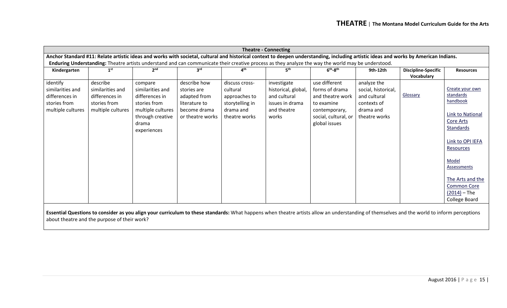| Anchor Standard #11: Relate artistic ideas and works with societal, cultural and historical context to deepen understanding, including artistic ideas and works by American Indians.<br>Enduring Understanding: Theatre artists understand and can communicate their creative process as they analyze the way the world may be understood.<br>$6th-8th$<br>1 <sup>st</sup><br>2 <sup>nd</sup><br><b>Discipline-Specific</b><br>Kindergarten<br>3 <sup>rd</sup><br>4 <sup>th</sup><br>9th-12th<br>Vocabulary                                                                                                                                                                                                                                                                                                                                                                                                                                                                      | <b>Theatre - Connecting</b> |  |  |  |  |  |                                                                                                                    |
|----------------------------------------------------------------------------------------------------------------------------------------------------------------------------------------------------------------------------------------------------------------------------------------------------------------------------------------------------------------------------------------------------------------------------------------------------------------------------------------------------------------------------------------------------------------------------------------------------------------------------------------------------------------------------------------------------------------------------------------------------------------------------------------------------------------------------------------------------------------------------------------------------------------------------------------------------------------------------------|-----------------------------|--|--|--|--|--|--------------------------------------------------------------------------------------------------------------------|
|                                                                                                                                                                                                                                                                                                                                                                                                                                                                                                                                                                                                                                                                                                                                                                                                                                                                                                                                                                                  |                             |  |  |  |  |  |                                                                                                                    |
|                                                                                                                                                                                                                                                                                                                                                                                                                                                                                                                                                                                                                                                                                                                                                                                                                                                                                                                                                                                  |                             |  |  |  |  |  |                                                                                                                    |
|                                                                                                                                                                                                                                                                                                                                                                                                                                                                                                                                                                                                                                                                                                                                                                                                                                                                                                                                                                                  |                             |  |  |  |  |  | <b>Resources</b>                                                                                                   |
| use different<br>identify<br>describe<br>describe how<br>investigate<br>analyze the<br>discuss cross-<br>compare<br>forms of drama<br>social, historical,<br>similarities and<br>similarities and<br>similarities and<br>cultural<br>historical, global,<br>stories are<br>Glossary<br>standards<br>and cultural<br>and cultural<br>differences in<br>differences in<br>differences in<br>adapted from<br>and theatre work<br>approaches to<br>handbook<br>stories from<br>stories from<br>stories from<br>literature to<br>storytelling in<br>issues in drama<br>to examine<br>contexts of<br>multiple cultures<br>multiple cultures<br>multiple cultures<br>drama and<br>and theatre<br>become drama<br>drama and<br>contemporary,<br>through creative<br>or theatre works<br>works<br>social, cultural, or<br>theatre works<br>theatre works<br>Core Arts<br>global issues<br>drama<br><b>Standards</b><br>experiences<br>Resources<br>Model<br>Assessments<br>$(2014)$ – The |                             |  |  |  |  |  | Create your own<br>Link to National<br>Link to OPI IEFA<br>The Arts and the<br><b>Common Core</b><br>College Board |
|                                                                                                                                                                                                                                                                                                                                                                                                                                                                                                                                                                                                                                                                                                                                                                                                                                                                                                                                                                                  |                             |  |  |  |  |  |                                                                                                                    |

**Essential Questions to consider as you align your curriculum to these standards:** What happens when theatre artists allow an understanding of themselves and the world to inform perceptions about theatre and the purpose of their work?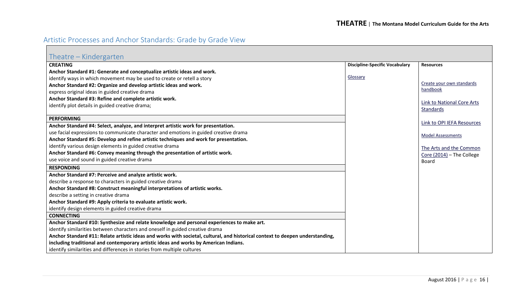## <span id="page-15-0"></span>Artistic Processes and Anchor Standards: Grade by Grade View

<span id="page-15-1"></span>

| Theatre – Kindergarten                                                                                                        |                                       |                                   |
|-------------------------------------------------------------------------------------------------------------------------------|---------------------------------------|-----------------------------------|
| <b>CREATING</b>                                                                                                               | <b>Discipline-Specific Vocabulary</b> | <b>Resources</b>                  |
| Anchor Standard #1: Generate and conceptualize artistic ideas and work.                                                       |                                       |                                   |
| identify ways in which movement may be used to create or retell a story                                                       | Glossary                              |                                   |
| Anchor Standard #2: Organize and develop artistic ideas and work.                                                             |                                       | Create your own standards         |
| express original ideas in guided creative drama                                                                               |                                       | handbook                          |
| Anchor Standard #3: Refine and complete artistic work.                                                                        |                                       | <b>Link to National Core Arts</b> |
| identify plot details in guided creative drama;                                                                               |                                       | Standards                         |
|                                                                                                                               |                                       |                                   |
| <b>PERFORMING</b>                                                                                                             |                                       | Link to OPI IEFA Resources        |
| Anchor Standard #4: Select, analyze, and interpret artistic work for presentation.                                            |                                       |                                   |
| use facial expressions to communicate character and emotions in guided creative drama                                         |                                       | <b>Model Assessments</b>          |
| Anchor Standard #5: Develop and refine artistic techniques and work for presentation.                                         |                                       |                                   |
| identify various design elements in guided creative drama                                                                     |                                       | The Arts and the Common           |
| Anchor Standard #6: Convey meaning through the presentation of artistic work.                                                 |                                       | Core $(2014)$ – The College       |
| use voice and sound in guided creative drama                                                                                  |                                       | <b>Board</b>                      |
| <b>RESPONDING</b>                                                                                                             |                                       |                                   |
| Anchor Standard #7: Perceive and analyze artistic work.                                                                       |                                       |                                   |
| describe a response to characters in guided creative drama                                                                    |                                       |                                   |
| Anchor Standard #8: Construct meaningful interpretations of artistic works.                                                   |                                       |                                   |
| describe a setting in creative drama                                                                                          |                                       |                                   |
| Anchor Standard #9: Apply criteria to evaluate artistic work.                                                                 |                                       |                                   |
| identify design elements in guided creative drama                                                                             |                                       |                                   |
| <b>CONNECTING</b>                                                                                                             |                                       |                                   |
| Anchor Standard #10: Synthesize and relate knowledge and personal experiences to make art.                                    |                                       |                                   |
| identify similarities between characters and oneself in guided creative drama                                                 |                                       |                                   |
| Anchor Standard #11: Relate artistic ideas and works with societal, cultural, and historical context to deepen understanding, |                                       |                                   |
| including traditional and contemporary artistic ideas and works by American Indians.                                          |                                       |                                   |
| identify similarities and differences in stories from multiple cultures                                                       |                                       |                                   |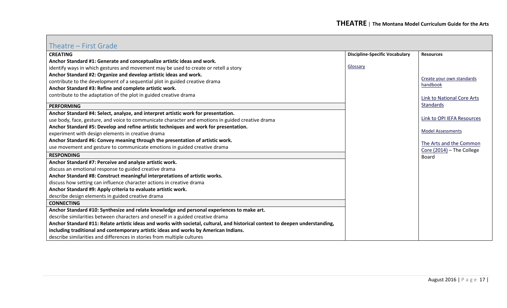#### <span id="page-16-0"></span>Theatre – First Grade

| $111$ CQUC $-1113$ CUI QUC                                                                                                    |                                       |                                       |
|-------------------------------------------------------------------------------------------------------------------------------|---------------------------------------|---------------------------------------|
| <b>CREATING</b>                                                                                                               | <b>Discipline-Specific Vocabulary</b> | <b>Resources</b>                      |
| Anchor Standard #1: Generate and conceptualize artistic ideas and work.                                                       |                                       |                                       |
| identify ways in which gestures and movement may be used to create or retell a story                                          | Glossary                              |                                       |
| Anchor Standard #2: Organize and develop artistic ideas and work.                                                             |                                       |                                       |
| contribute to the development of a sequential plot in guided creative drama                                                   |                                       | Create your own standards<br>handbook |
| Anchor Standard #3: Refine and complete artistic work.                                                                        |                                       |                                       |
| contribute to the adaptation of the plot in guided creative drama                                                             |                                       | Link to National Core Arts            |
|                                                                                                                               |                                       | Standards                             |
| <b>PERFORMING</b>                                                                                                             |                                       |                                       |
| Anchor Standard #4: Select, analyze, and interpret artistic work for presentation.                                            |                                       | Link to OPI IEFA Resources            |
| use body, face, gesture, and voice to communicate character and emotions in guided creative drama                             |                                       |                                       |
| Anchor Standard #5: Develop and refine artistic techniques and work for presentation.                                         |                                       | <b>Model Assessments</b>              |
| experiment with design elements in creative drama                                                                             |                                       |                                       |
| Anchor Standard #6: Convey meaning through the presentation of artistic work.                                                 |                                       | The Arts and the Common               |
| use movement and gesture to communicate emotions in guided creative drama                                                     |                                       | Core (2014) - The College             |
| <b>RESPONDING</b>                                                                                                             |                                       | Board                                 |
| Anchor Standard #7: Perceive and analyze artistic work.                                                                       |                                       |                                       |
| discuss an emotional response to guided creative drama                                                                        |                                       |                                       |
| Anchor Standard #8: Construct meaningful interpretations of artistic works.                                                   |                                       |                                       |
| discuss how setting can influence character actions in creative drama                                                         |                                       |                                       |
| Anchor Standard #9: Apply criteria to evaluate artistic work.                                                                 |                                       |                                       |
| describe design elements in guided creative drama                                                                             |                                       |                                       |
| <b>CONNECTING</b>                                                                                                             |                                       |                                       |
| Anchor Standard #10: Synthesize and relate knowledge and personal experiences to make art.                                    |                                       |                                       |
| describe similarities between characters and oneself in a guided creative drama                                               |                                       |                                       |
| Anchor Standard #11: Relate artistic ideas and works with societal, cultural, and historical context to deepen understanding, |                                       |                                       |
| including traditional and contemporary artistic ideas and works by American Indians.                                          |                                       |                                       |
| describe similarities and differences in stories from multiple cultures                                                       |                                       |                                       |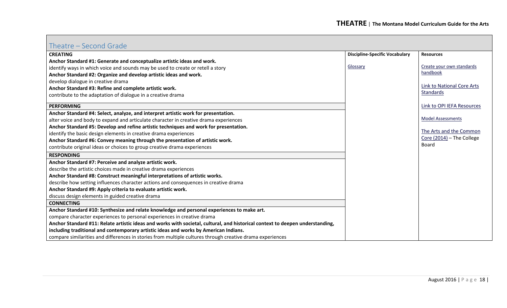## <span id="page-17-0"></span>Theatre – Second Grade

| <b>CREATING</b>                                                                                                               | <b>Discipline-Specific Vocabulary</b> | <b>Resources</b>                  |
|-------------------------------------------------------------------------------------------------------------------------------|---------------------------------------|-----------------------------------|
| Anchor Standard #1: Generate and conceptualize artistic ideas and work.                                                       |                                       |                                   |
| identify ways in which voice and sounds may be used to create or retell a story                                               | Glossary                              | Create your own standards         |
| Anchor Standard #2: Organize and develop artistic ideas and work.                                                             |                                       | handbook                          |
| develop dialogue in creative drama                                                                                            |                                       |                                   |
| Anchor Standard #3: Refine and complete artistic work.                                                                        |                                       | <b>Link to National Core Arts</b> |
| contribute to the adaptation of dialogue in a creative drama                                                                  |                                       | Standards                         |
| <b>PERFORMING</b>                                                                                                             |                                       | Link to OPI IEFA Resources        |
| Anchor Standard #4: Select, analyze, and interpret artistic work for presentation.                                            |                                       |                                   |
| alter voice and body to expand and articulate character in creative drama experiences                                         |                                       | <b>Model Assessments</b>          |
| Anchor Standard #5: Develop and refine artistic techniques and work for presentation.                                         |                                       |                                   |
| identify the basic design elements in creative drama experiences                                                              |                                       | The Arts and the Common           |
| Anchor Standard #6: Convey meaning through the presentation of artistic work.                                                 |                                       | Core (2014) - The College         |
| contribute original ideas or choices to group creative drama experiences                                                      |                                       | Board                             |
| <b>RESPONDING</b>                                                                                                             |                                       |                                   |
| Anchor Standard #7: Perceive and analyze artistic work.                                                                       |                                       |                                   |
| describe the artistic choices made in creative drama experiences                                                              |                                       |                                   |
| Anchor Standard #8: Construct meaningful interpretations of artistic works.                                                   |                                       |                                   |
| describe how setting influences character actions and consequences in creative drama                                          |                                       |                                   |
| Anchor Standard #9: Apply criteria to evaluate artistic work.                                                                 |                                       |                                   |
| discuss design elements in guided creative drama                                                                              |                                       |                                   |
| <b>CONNECTING</b>                                                                                                             |                                       |                                   |
| Anchor Standard #10: Synthesize and relate knowledge and personal experiences to make art.                                    |                                       |                                   |
| compare character experiences to personal experiences in creative drama                                                       |                                       |                                   |
| Anchor Standard #11: Relate artistic ideas and works with societal, cultural, and historical context to deepen understanding, |                                       |                                   |
| including traditional and contemporary artistic ideas and works by American Indians.                                          |                                       |                                   |
| compare similarities and differences in stories from multiple cultures through creative drama experiences                     |                                       |                                   |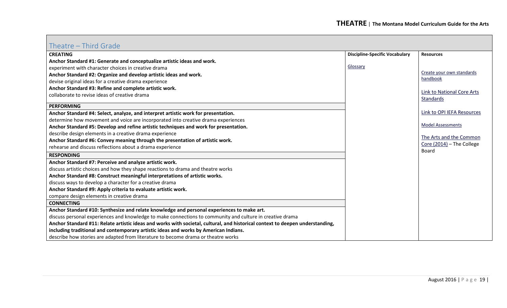## <span id="page-18-0"></span>Theatre – Third Grade

| $\overline{\phantom{a}}$ liliu u ulduc                                                                                        |                                       |                                   |
|-------------------------------------------------------------------------------------------------------------------------------|---------------------------------------|-----------------------------------|
| <b>CREATING</b>                                                                                                               | <b>Discipline-Specific Vocabulary</b> | <b>Resources</b>                  |
| Anchor Standard #1: Generate and conceptualize artistic ideas and work.                                                       |                                       |                                   |
| experiment with character choices in creative drama                                                                           | Glossary                              |                                   |
| Anchor Standard #2: Organize and develop artistic ideas and work.                                                             |                                       | Create your own standards         |
| devise original ideas for a creative drama experience                                                                         |                                       | handbook                          |
| Anchor Standard #3: Refine and complete artistic work.                                                                        |                                       | <b>Link to National Core Arts</b> |
| collaborate to revise ideas of creative drama                                                                                 |                                       | <b>Standards</b>                  |
| <b>PERFORMING</b>                                                                                                             |                                       |                                   |
|                                                                                                                               |                                       |                                   |
| Anchor Standard #4: Select, analyze, and interpret artistic work for presentation.                                            |                                       | Link to OPI IEFA Resources        |
| determine how movement and voice are incorporated into creative drama experiences                                             |                                       |                                   |
| Anchor Standard #5: Develop and refine artistic techniques and work for presentation.                                         |                                       | <b>Model Assessments</b>          |
| describe design elements in a creative drama experience                                                                       |                                       |                                   |
| Anchor Standard #6: Convey meaning through the presentation of artistic work.                                                 |                                       | The Arts and the Common           |
| rehearse and discuss reflections about a drama experience                                                                     |                                       | Core (2014) - The College         |
| <b>RESPONDING</b>                                                                                                             |                                       | Board                             |
| Anchor Standard #7: Perceive and analyze artistic work.                                                                       |                                       |                                   |
| discuss artistic choices and how they shape reactions to drama and theatre works                                              |                                       |                                   |
| Anchor Standard #8: Construct meaningful interpretations of artistic works.                                                   |                                       |                                   |
| discuss ways to develop a character for a creative drama                                                                      |                                       |                                   |
| Anchor Standard #9: Apply criteria to evaluate artistic work.                                                                 |                                       |                                   |
| compare design elements in creative drama                                                                                     |                                       |                                   |
| <b>CONNECTING</b>                                                                                                             |                                       |                                   |
| Anchor Standard #10: Synthesize and relate knowledge and personal experiences to make art.                                    |                                       |                                   |
| discuss personal experiences and knowledge to make connections to community and culture in creative drama                     |                                       |                                   |
| Anchor Standard #11: Relate artistic ideas and works with societal, cultural, and historical context to deepen understanding, |                                       |                                   |
| including traditional and contemporary artistic ideas and works by American Indians.                                          |                                       |                                   |
| describe how stories are adapted from literature to become drama or theatre works                                             |                                       |                                   |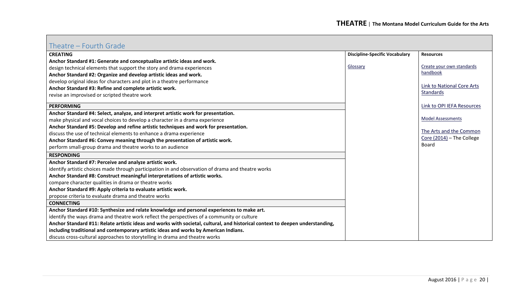## <span id="page-19-0"></span>Theatre – Fourth Grade

| <b>CREATING</b>                                                                                                               | <b>Discipline-Specific Vocabulary</b> | <b>Resources</b>           |
|-------------------------------------------------------------------------------------------------------------------------------|---------------------------------------|----------------------------|
| Anchor Standard #1: Generate and conceptualize artistic ideas and work.                                                       |                                       |                            |
| design technical elements that support the story and drama experiences                                                        | Glossary                              | Create your own standards  |
| Anchor Standard #2: Organize and develop artistic ideas and work.                                                             |                                       | handbook                   |
| develop original ideas for characters and plot in a theatre performance                                                       |                                       |                            |
| Anchor Standard #3: Refine and complete artistic work.                                                                        |                                       | Link to National Core Arts |
| revise an improvised or scripted theatre work                                                                                 |                                       | Standards                  |
| <b>PERFORMING</b>                                                                                                             |                                       | Link to OPI IEFA Resources |
| Anchor Standard #4: Select, analyze, and interpret artistic work for presentation.                                            |                                       |                            |
| make physical and vocal choices to develop a character in a drama experience                                                  |                                       | <b>Model Assessments</b>   |
| Anchor Standard #5: Develop and refine artistic techniques and work for presentation.                                         |                                       | The Arts and the Common    |
| discuss the use of technical elements to enhance a drama experience                                                           |                                       |                            |
| Anchor Standard #6: Convey meaning through the presentation of artistic work.                                                 |                                       | Core (2014) - The College  |
| perform small-group drama and theatre works to an audience                                                                    |                                       | Board                      |
| <b>RESPONDING</b>                                                                                                             |                                       |                            |
| Anchor Standard #7: Perceive and analyze artistic work.                                                                       |                                       |                            |
| identify artistic choices made through participation in and observation of drama and theatre works                            |                                       |                            |
| Anchor Standard #8: Construct meaningful interpretations of artistic works.                                                   |                                       |                            |
| compare character qualities in drama or theatre works                                                                         |                                       |                            |
| Anchor Standard #9: Apply criteria to evaluate artistic work.                                                                 |                                       |                            |
| propose criteria to evaluate drama and theatre works                                                                          |                                       |                            |
| <b>CONNECTING</b>                                                                                                             |                                       |                            |
| Anchor Standard #10: Synthesize and relate knowledge and personal experiences to make art.                                    |                                       |                            |
| identify the ways drama and theatre work reflect the perspectives of a community or culture                                   |                                       |                            |
| Anchor Standard #11: Relate artistic ideas and works with societal, cultural, and historical context to deepen understanding, |                                       |                            |
| including traditional and contemporary artistic ideas and works by American Indians.                                          |                                       |                            |
| discuss cross-cultural approaches to storytelling in drama and theatre works                                                  |                                       |                            |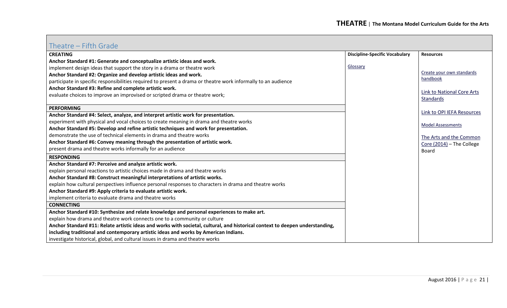## <span id="page-20-0"></span>Theatre – Fifth Grade

| <b>CREATING</b>                                                                                                               | <b>Discipline-Specific Vocabulary</b> | <b>Resources</b>                        |
|-------------------------------------------------------------------------------------------------------------------------------|---------------------------------------|-----------------------------------------|
| Anchor Standard #1: Generate and conceptualize artistic ideas and work.                                                       |                                       |                                         |
| implement design ideas that support the story in a drama or theatre work                                                      | Glossary                              |                                         |
| Anchor Standard #2: Organize and develop artistic ideas and work.                                                             |                                       | Create your own standards               |
| participate in specific responsibilities required to present a drama or theatre work informally to an audience                |                                       | handbook                                |
| Anchor Standard #3: Refine and complete artistic work.                                                                        |                                       |                                         |
| evaluate choices to improve an improvised or scripted drama or theatre work;                                                  |                                       | Link to National Core Arts<br>Standards |
|                                                                                                                               |                                       |                                         |
| <b>PERFORMING</b>                                                                                                             |                                       | Link to OPI IEFA Resources              |
| Anchor Standard #4: Select, analyze, and interpret artistic work for presentation.                                            |                                       |                                         |
| experiment with physical and vocal choices to create meaning in drama and theatre works                                       |                                       | <b>Model Assessments</b>                |
| Anchor Standard #5: Develop and refine artistic techniques and work for presentation.                                         |                                       |                                         |
| demonstrate the use of technical elements in drama and theatre works                                                          |                                       | The Arts and the Common                 |
| Anchor Standard #6: Convey meaning through the presentation of artistic work.                                                 |                                       | Core (2014) - The College               |
| present drama and theatre works informally for an audience                                                                    |                                       | Board                                   |
| <b>RESPONDING</b>                                                                                                             |                                       |                                         |
| Anchor Standard #7: Perceive and analyze artistic work.                                                                       |                                       |                                         |
| explain personal reactions to artistic choices made in drama and theatre works                                                |                                       |                                         |
| Anchor Standard #8: Construct meaningful interpretations of artistic works.                                                   |                                       |                                         |
| explain how cultural perspectives influence personal responses to characters in drama and theatre works                       |                                       |                                         |
| Anchor Standard #9: Apply criteria to evaluate artistic work.                                                                 |                                       |                                         |
| implement criteria to evaluate drama and theatre works                                                                        |                                       |                                         |
| <b>CONNECTING</b>                                                                                                             |                                       |                                         |
| Anchor Standard #10: Synthesize and relate knowledge and personal experiences to make art.                                    |                                       |                                         |
| explain how drama and theatre work connects one to a community or culture                                                     |                                       |                                         |
| Anchor Standard #11: Relate artistic ideas and works with societal, cultural, and historical context to deepen understanding, |                                       |                                         |
| including traditional and contemporary artistic ideas and works by American Indians.                                          |                                       |                                         |
| investigate historical, global, and cultural issues in drama and theatre works                                                |                                       |                                         |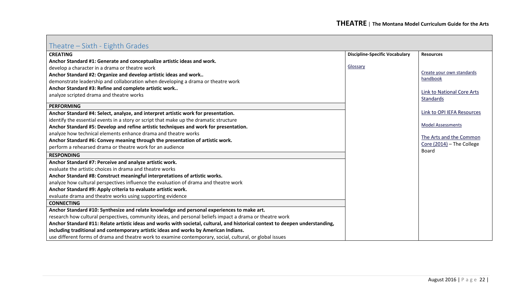## <span id="page-21-0"></span>Theatre – Sixth - Eighth Grades

| THE SINGLE LISTER STUDIO                                                                                                      |                                       |                                                |
|-------------------------------------------------------------------------------------------------------------------------------|---------------------------------------|------------------------------------------------|
| <b>CREATING</b>                                                                                                               | <b>Discipline-Specific Vocabulary</b> | <b>Resources</b>                               |
| Anchor Standard #1: Generate and conceptualize artistic ideas and work.                                                       |                                       |                                                |
| develop a character in a drama or theatre work                                                                                | Glossary                              |                                                |
| Anchor Standard #2: Organize and develop artistic ideas and work                                                              |                                       | Create your own standards                      |
| demonstrate leadership and collaboration when developing a drama or theatre work                                              |                                       | handbook                                       |
| Anchor Standard #3: Refine and complete artistic work                                                                         |                                       |                                                |
| analyze scripted drama and theatre works                                                                                      |                                       | Link to National Core Arts<br><b>Standards</b> |
|                                                                                                                               |                                       |                                                |
| <b>PERFORMING</b>                                                                                                             |                                       |                                                |
| Anchor Standard #4: Select, analyze, and interpret artistic work for presentation.                                            |                                       | Link to OPI IEFA Resources                     |
| identify the essential events in a story or script that make up the dramatic structure                                        |                                       |                                                |
| Anchor Standard #5: Develop and refine artistic techniques and work for presentation.                                         |                                       | <b>Model Assessments</b>                       |
| analyze how technical elements enhance drama and theatre works                                                                |                                       | The Arts and the Common                        |
| Anchor Standard #6: Convey meaning through the presentation of artistic work.                                                 |                                       |                                                |
| perform a rehearsed drama or theatre work for an audience                                                                     |                                       | Core (2014) - The College<br>Board             |
| <b>RESPONDING</b>                                                                                                             |                                       |                                                |
| Anchor Standard #7: Perceive and analyze artistic work.                                                                       |                                       |                                                |
| evaluate the artistic choices in drama and theatre works                                                                      |                                       |                                                |
| Anchor Standard #8: Construct meaningful interpretations of artistic works.                                                   |                                       |                                                |
| analyze how cultural perspectives influence the evaluation of drama and theatre work                                          |                                       |                                                |
| Anchor Standard #9: Apply criteria to evaluate artistic work.                                                                 |                                       |                                                |
| evaluate drama and theatre works using supporting evidence                                                                    |                                       |                                                |
| <b>CONNECTING</b>                                                                                                             |                                       |                                                |
| Anchor Standard #10: Synthesize and relate knowledge and personal experiences to make art.                                    |                                       |                                                |
| research how cultural perspectives, community ideas, and personal beliefs impact a drama or theatre work                      |                                       |                                                |
| Anchor Standard #11: Relate artistic ideas and works with societal, cultural, and historical context to deepen understanding, |                                       |                                                |
| including traditional and contemporary artistic ideas and works by American Indians.                                          |                                       |                                                |
| use different forms of drama and theatre work to examine contemporary, social, cultural, or global issues                     |                                       |                                                |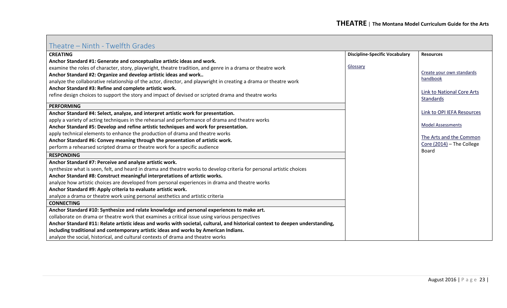## <span id="page-22-0"></span>Theatre – Ninth - Twelfth Grades

| <b>CREATING</b>                                                                                                               | <b>Discipline-Specific Vocabulary</b> | <b>Resources</b>                          |
|-------------------------------------------------------------------------------------------------------------------------------|---------------------------------------|-------------------------------------------|
| Anchor Standard #1: Generate and conceptualize artistic ideas and work.                                                       |                                       |                                           |
| examine the roles of character, story, playwright, theatre tradition, and genre in a drama or theatre work                    | Glossary                              |                                           |
| Anchor Standard #2: Organize and develop artistic ideas and work                                                              |                                       | Create your own standards                 |
| analyze the collaborative relationship of the actor, director, and playwright in creating a drama or theatre work             |                                       | handbook                                  |
| Anchor Standard #3: Refine and complete artistic work.                                                                        |                                       |                                           |
| refine design choices to support the story and impact of devised or scripted drama and theatre works                          |                                       | <b>Link to National Core Arts</b>         |
|                                                                                                                               |                                       | <b>Standards</b>                          |
| <b>PERFORMING</b>                                                                                                             |                                       |                                           |
| Anchor Standard #4: Select, analyze, and interpret artistic work for presentation.                                            |                                       | Link to OPI IEFA Resources                |
| apply a variety of acting techniques in the rehearsal and performance of drama and theatre works                              |                                       |                                           |
| Anchor Standard #5: Develop and refine artistic techniques and work for presentation.                                         |                                       | <b>Model Assessments</b>                  |
| apply technical elements to enhance the production of drama and theatre works                                                 |                                       |                                           |
| Anchor Standard #6: Convey meaning through the presentation of artistic work.                                                 |                                       | The Arts and the Common                   |
| perform a rehearsed scripted drama or theatre work for a specific audience                                                    |                                       | Core (2014) - The College<br><b>Board</b> |
| <b>RESPONDING</b>                                                                                                             |                                       |                                           |
| Anchor Standard #7: Perceive and analyze artistic work.                                                                       |                                       |                                           |
| synthesize what is seen, felt, and heard in drama and theatre works to develop criteria for personal artistic choices         |                                       |                                           |
| Anchor Standard #8: Construct meaningful interpretations of artistic works.                                                   |                                       |                                           |
| analyze how artistic choices are developed from personal experiences in drama and theatre works                               |                                       |                                           |
| Anchor Standard #9: Apply criteria to evaluate artistic work.                                                                 |                                       |                                           |
| analyze a drama or theatre work using personal aesthetics and artistic criteria                                               |                                       |                                           |
| <b>CONNECTING</b>                                                                                                             |                                       |                                           |
| Anchor Standard #10: Synthesize and relate knowledge and personal experiences to make art.                                    |                                       |                                           |
| collaborate on drama or theatre work that examines a critical issue using various perspectives                                |                                       |                                           |
| Anchor Standard #11: Relate artistic ideas and works with societal, cultural, and historical context to deepen understanding, |                                       |                                           |
| including traditional and contemporary artistic ideas and works by American Indians.                                          |                                       |                                           |
| analyze the social, historical, and cultural contexts of drama and theatre works                                              |                                       |                                           |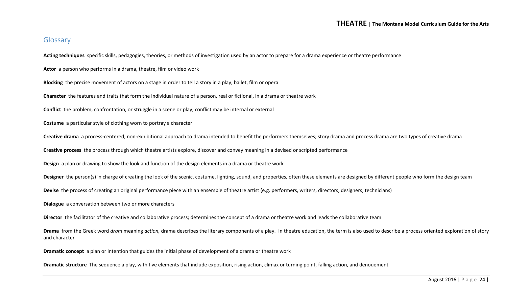#### **THEATRE** <sup>|</sup> **The Montana Model Curriculum Guide for the Arts**

#### <span id="page-23-0"></span>Glossary

**Acting techniques** specific skills, pedagogies, theories, or methods of investigation used by an actor to prepare for a drama experience or theatre performance

**Actor** a person who performs in a drama, theatre, film or video work

**Blocking** the precise movement of actors on a stage in order to tell a story in a play, ballet, film or opera

**Character** the features and traits that form the individual nature of a person, real or fictional, in a drama or theatre work

**Conflict** the problem, confrontation, or struggle in a scene or play; conflict may be internal or external

**Costume** a particular style of clothing worn to portray a character

**Creative drama** a process-centered, non-exhibitional approach to drama intended to benefit the performers themselves; story drama and process drama are two types of creative drama

**Creative process** the process through which theatre artists explore, discover and convey meaning in a devised or scripted performance

**Design** a plan or drawing to show the look and function of the design elements in a drama or theatre work

Designer the person(s) in charge of creating the look of the scenic, costume, lighting, sound, and properties, often these elements are designed by different people who form the design team

**Devise** the process of creating an original performance piece with an ensemble of theatre artist (e.g. performers, writers, directors, designers, technicians)

**Dialogue** a conversation between two or more characters

**Director** the facilitator of the creative and collaborative process; determines the concept of a drama or theatre work and leads the collaborative team

**Drama** from the Greek word *dram* meaning *action,* drama describes the literary components of a play. In theatre education, the term is also used to describe a process oriented exploration of story and character

**Dramatic concept** a plan or intention that guides the initial phase of development of a drama or theatre work

**Dramatic structure** The sequence a play, with five elements that include exposition, rising action, climax or turning point, falling action, and denouement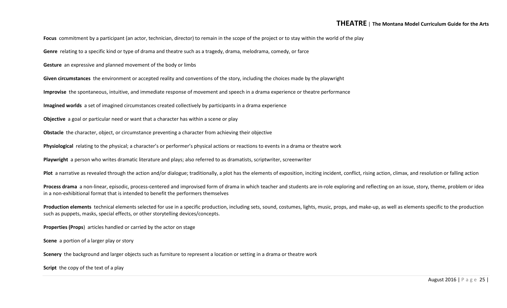**Focus** commitment by a participant (an actor, technician, director) to remain in the scope of the project or to stay within the world of the play

**Genre** relating to a specific kind or type of drama and theatre such as a tragedy, drama, melodrama, comedy, or farce

**Gesture** an expressive and planned movement of the body or limbs

**Given circumstances** the environment or accepted reality and conventions of the story, including the choices made by the playwright

**Improvise** the spontaneous, intuitive, and immediate response of movement and speech in a drama experience or theatre performance

**Imagined worlds** a set of imagined circumstances created collectively by participants in a drama experience

**Objective** a goal or particular need or want that a character has within a scene or play

**Obstacle** the character, object, or circumstance preventing a character from achieving their objective

**Physiological** relating to the physical; a character's or performer's physical actions or reactions to events in a drama or theatre work

**Playwright** a person who writes dramatic literature and plays; also referred to as dramatists, scriptwriter, screenwriter

Plot a narrative as revealed through the action and/or dialogue; traditionally, a plot has the elements of exposition, inciting incident, conflict, rising action, climax, and resolution or falling action

**Process drama** a non-linear, episodic, process-centered and improvised form of drama in which teacher and students are in-role exploring and reflecting on an issue, story, theme, problem or idea in a non-exhibitional format that is intended to benefit the performers themselves

**Production elements** technical elements selected for use in a specific production, including sets, sound, costumes, lights, music, props, and make-up, as well as elements specific to the production such as puppets, masks, special effects, or other storytelling devices/concepts.

**Properties (Props**) articles handled or carried by the actor on stage

**Scene** a portion of a larger play or story

**Scenery** the background and larger objects such as furniture to represent a location or setting in a drama or theatre work

**Script** the copy of the text of a play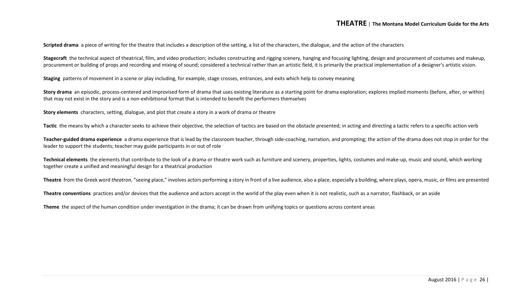**Scripted drama** a piece of writing for the theatre that includes a description of the setting, a list of the characters, the dialogue, and the action of the characters

**Stagecraft** the technical aspect of theatrical, film, and video production; includes constructing and rigging scenery, hanging and focusing lighting, design and procurement of costumes and makeup, procurement or building of props and recording and mixing of sound; considered a technical rather than an artistic field, it is primarily the practical implementation of a designer's artistic vision.

**Staging** patterns of movement in a scene or play including, for example, stage crosses, entrances, and exits which help to convey meaning

Story drama an episodic, process-centered and improvised form of drama that uses existing literature as a starting point for drama exploration; explores implied moments (before, after, or within) that may not exist in the story and is a non-exhibitional format that is intended to benefit the performers themselves

**Story elements** characters, setting, dialogue, and plot that create a story in a work of drama or theatre

Tactic the means by which a character seeks to achieve their objective, the selection of tactics are based on the obstacle presented; in acting and directing a tactic refers to a specific action verb

**Teacher-guided drama experience** a drama experience that is lead by the classroom teacher, through side-coaching, narration, and prompting; the action of the drama does not stop in order for the leader to support the students; teacher may guide participants in or out of role

Technical elements the elements that contribute to the look of a drama or theatre work such as furniture and scenery, properties, lights, costumes and make-up, music and sound, which working together create a unified and meaningful design for a theatrical production

**Theatre** from the Greek word *theatron*, "seeing place," involves actors performing a story in front of a live audience, also a place, especially a building, where plays, opera, music, or films are presented

**Theatre conventions** practices and/or devices that the audience and actors accept in the world of the play even when it is not realistic, such as a narrator, flashback, or an aside

**Theme** the aspect of the human condition under investigation in the drama; it can be drawn from unifying topics or questions across content areas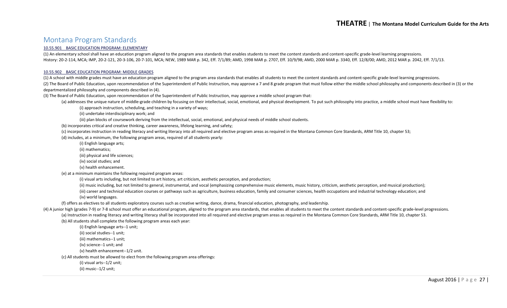#### <span id="page-26-0"></span>Montana Program Standards

#### [10.55.901 BASIC EDUCATION PROGRAM: ELEMENTARY](http://mtrules.org/gateway/ruleno.asp?RN=10%2E55%2E901)

(1) An elementary school shall have an education program aligned to the program area standards that enables students to meet the content standards and content-specific grade-level learning progressions. History: 20-2-114, MCA; IMP, 20-2-121, 20-3-106, 20-7-101, MCA; NEW, 1989 MAR p. 342, Eff. 7/1/89; AMD, 1998 MAR p. 2707, Eff. 10/9/98; AMD, 2000 MAR p. 3340, Eff. 12/8/00; AMD, 2012 MAR p. 2042, Eff. 7/1/13.

#### [10.55.902 BASIC EDUCATION PROGRAM: MIDDLE GRADES](http://mtrules.org/gateway/ruleno.asp?RN=10%2E55%2E902)

(1) A school with middle grades must have an education program aligned to the program area standards that enables all students to meet the content standards and content-specific grade-level learning progressions. (2) The Board of Public Education, upon recommendation of the Superintendent of Public Instruction, may approve a 7 and 8 grade program that must follow either the middle school philosophy and components described in (3) o departmentalized philosophy and components described in (4).

(3) The Board of Public Education, upon recommendation of the Superintendent of Public Instruction, may approve a middle school program that:

(a) addresses the unique nature of middle-grade children by focusing on their intellectual, social, emotional, and physical development. To put such philosophy into practice, a middle school must have flexibility to:

(i) approach instruction, scheduling, and teaching in a variety of ways;

(ii) undertake interdisciplinary work; and

(iii) plan blocks of coursework deriving from the intellectual, social, emotional, and physical needs of middle school students.

(b) incorporates critical and creative thinking, career awareness, lifelong learning, and safety;

(c) incorporates instruction in reading literacy and writing literacy into all required and elective program areas as required in the Montana Common Core Standards, ARM Title 10, chapter 53;

(d) includes, at a minimum, the following program areas, required of all students yearly:

(i) English language arts;

(ii) mathematics;

(iii) physical and life sciences;

(iv) social studies; and

(v) health enhancement.

(e) at a minimum maintains the following required program areas:

(i) visual arts including, but not limited to art history, art criticism, aesthetic perception, and production;

(ii) music including, but not limited to general, instrumental, and vocal (emphasizing comprehensive music elements, music history, criticism, aesthetic perception, and musical production);

(iii) career and technical education courses or pathways such as agriculture, business education, family and consumer sciences, health occupations and industrial technology education; and (iv) world languages.

(f) offers as electives to all students exploratory courses such as creative writing, dance, drama, financial education, photography, and leadership.

(4) A junior high (grades 7-9) or 7-8 school must offer an educational program, aligned to the program area standards, that enables all students to meet the content standards and content-specific grade-level progressions. (a) Instruction in reading literacy and writing literacy shall be incorporated into all required and elective program areas as required in the Montana Common Core Standards, ARM Title 10, chapter 53.

(b) All students shall complete the following program areas each year:

(i) English language arts--1 unit;

(ii) social studies--1 unit;

(iii) mathematics--1 unit;

(iv) science--1 unit; and

(v) health enhancement--1/2 unit.

(c) All students must be allowed to elect from the following program area offerings:

(i) visual arts--1/2 unit;

(ii) music--1/2 unit;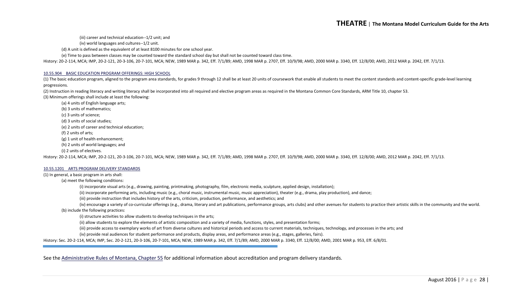(iii) career and technical education--1/2 unit; and

(iv) world languages and cultures--1/2 unit.

(d) A unit is defined as the equivalent of at least 8100 minutes for one school year.

(e) Time to pass between classes may be counted toward the standard school day but shall not be counted toward class time.

History: 20-2-114, MCA; IMP, 20-2-121, 20-3-106, 20-7-101, MCA; NEW, 1989 MAR p. 342, Eff. 7/1/89; AMD, 1998 MAR p. 2707, Eff. 10/9/98; AMD, 2000 MAR p. 3340, Eff. 12/8/00; AMD, 2012 MAR p. 2042, Eff. 7/1/13.

#### [10.55.904 BASIC EDUCATION PROGRAM OFFERINGS: HIGH SCHOOL](http://mtrules.org/gateway/ruleno.asp?RN=10%2E55%2E904)

(1) The basic education program, aligned to the program area standards, for grades 9 through 12 shall be at least 20 units of coursework that enable all students to meet the content standards and content-specific grade-lev progressions.

(2) Instruction in reading literacy and writing literacy shall be incorporated into all required and elective program areas as required in the Montana Common Core Standards, ARM Title 10, chapter 53. (3) Minimum offerings shall include at least the following:

(a) 4 units of English language arts;

(b) 3 units of mathematics;

(c) 3 units of science;

(d) 3 units of social studies;

(e) 2 units of career and technical education;

(f) 2 units of arts;

(g) 1 unit of health enhancement;

(h) 2 units of world languages; and

(i) 2 units of electives.

History: 20-2-114, MCA; IMP, 20-2-121, 20-3-106, 20-7-101, MCA; NEW, 1989 MAR p. 342, Eff. 7/1/89; AMD, 1998 MAR p. 2707, Eff. 10/9/98; AMD, 2000 MAR p. 3340, Eff. 12/8/00; AMD, 2012 MAR p. 2042, Eff. 7/1/13.

#### [10.55.1201 ARTS PROGRAM DELIVERY STANDARDS](http://mtrules.org/gateway/ruleno.asp?RN=10%2E55%2E1201)

#### (1) In general, a basic program in arts shall:

(a) meet the following conditions:

(i) incorporate visual arts (e.g., drawing, painting, printmaking, photography, film, electronic media, sculpture, applied design, installation);

(ii) incorporate performing arts, including music (e.g., choral music, instrumental music, music appreciation), theater (e.g., drama, play production), and dance;

(iii) provide instruction that includes history of the arts, criticism, production, performance, and aesthetics; and

(iv) encourage a variety of co-curricular offerings (e.g., drama, literary and art publications, performance groups, arts clubs) and other avenues for students to practice their artistic skills in the community and the wor (b) include the following practices:

(i) structure activities to allow students to develop techniques in the arts;

(ii) allow students to explore the elements of artistic composition and a variety of media, functions, styles, and presentation forms;

(iii) provide access to exemplary works of art from diverse cultures and historical periods and access to current materials, techniques, technology, and processes in the arts; and

(iv) provide real audiences for student performance and products, display areas, and performance areas (e.g., stages, galleries, fairs).

History: Sec. 20-2-114, MCA; IMP, Sec. 20-2-121, 20-3-106, 20-7-101, MCA; NEW, 1989 MAR p. 342, Eff. 7/1/89; AMD, 2000 MAR p. 3340, Eff. 12/8/00; AMD, 2001 MAR p. 953, Eff. 6/8/01.

See the [Administrative Rules of Montana, Chapter 55](http://mtrules.org/gateway/ChapterHome.asp?Chapter=10%2E55) for additional information about accreditation and program delivery standards.